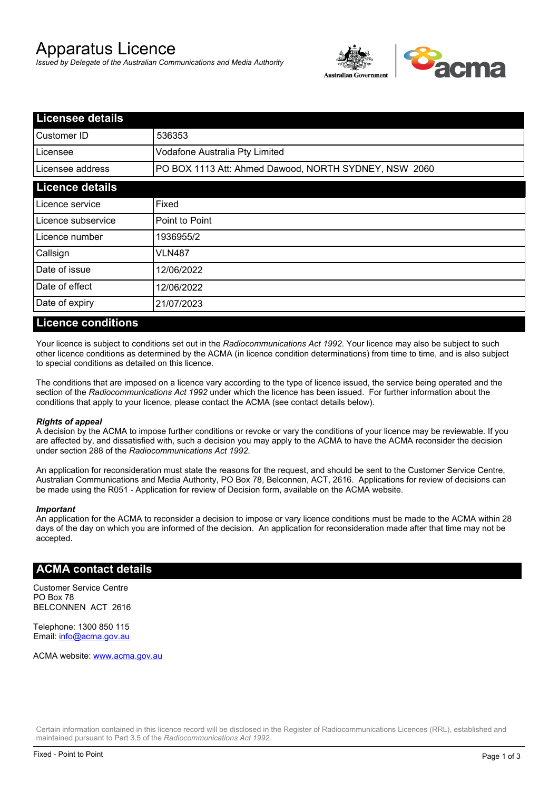# Apparatus Licence

*Issued by Delegate of the Australian Communications and Media Authority*



| <b>Licensee details</b> |                                                       |  |
|-------------------------|-------------------------------------------------------|--|
| lCustomer ID            | 536353                                                |  |
| l Licensee              | Vodafone Australia Pty Limited                        |  |
| Licensee address        | PO BOX 1113 Att: Ahmed Dawood, NORTH SYDNEY, NSW 2060 |  |
| <b>Licence details</b>  |                                                       |  |
| Licence service         | Fixed                                                 |  |
| Licence subservice      | Point to Point                                        |  |
| Licence number          | 1936955/2                                             |  |
| Callsign                | VLN487                                                |  |
| Date of issue           | 12/06/2022                                            |  |
| Date of effect          | 12/06/2022                                            |  |
| Date of expiry          | 21/07/2023                                            |  |

#### **Licence conditions**

Your licence is subject to conditions set out in the *Radiocommunications Act 1992*. Your licence may also be subject to such other licence conditions as determined by the ACMA (in licence condition determinations) from time to time, and is also subject to special conditions as detailed on this licence.

The conditions that are imposed on a licence vary according to the type of licence issued, the service being operated and the section of the *Radiocommunications Act 1992* under which the licence has been issued. For further information about the conditions that apply to your licence, please contact the ACMA (see contact details below).

#### *Rights of appeal*

A decision by the ACMA to impose further conditions or revoke or vary the conditions of your licence may be reviewable. If you are affected by, and dissatisfied with, such a decision you may apply to the ACMA to have the ACMA reconsider the decision under section 288 of the *Radiocommunications Act 1992*.

An application for reconsideration must state the reasons for the request, and should be sent to the Customer Service Centre, Australian Communications and Media Authority, PO Box 78, Belconnen, ACT, 2616. Applications for review of decisions can be made using the R051 - Application for review of Decision form, available on the ACMA website.

#### *Important*

An application for the ACMA to reconsider a decision to impose or vary licence conditions must be made to the ACMA within 28 days of the day on which you are informed of the decision. An application for reconsideration made after that time may not be accepted.

### **ACMA contact details**

Customer Service Centre PO Box 78 BELCONNEN ACT 2616

Telephone: 1300 850 115 Email: info@acma.gov.au

ACMA website: www.acma.gov.au

Certain information contained in this licence record will be disclosed in the Register of Radiocommunications Licences (RRL), established and maintained pursuant to Part 3.5 of the *Radiocommunications Act 1992.*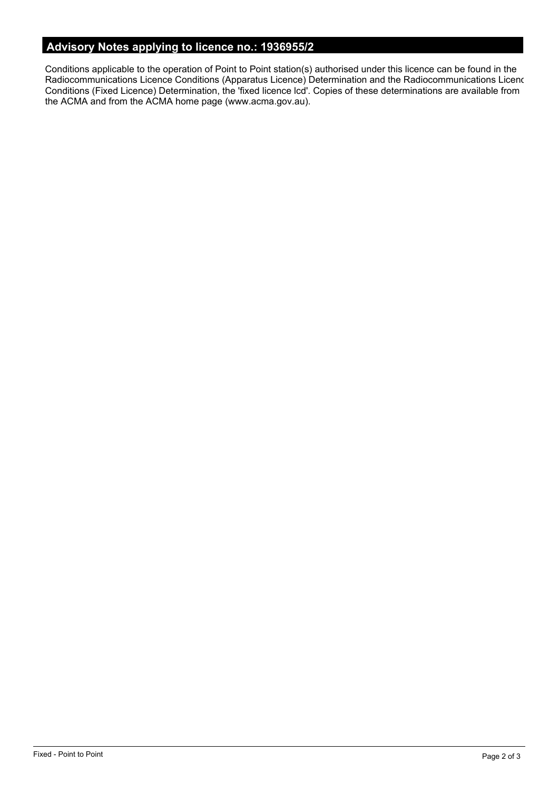# **Advisory Notes applying to licence no.: 1936955/2**

Conditions applicable to the operation of Point to Point station(s) authorised under this licence can be found in the Radiocommunications Licence Conditions (Apparatus Licence) Determination and the Radiocommunications Licence Conditions (Fixed Licence) Determination, the 'fixed licence lcd'. Copies of these determinations are available from the ACMA and from the ACMA home page (www.acma.gov.au).